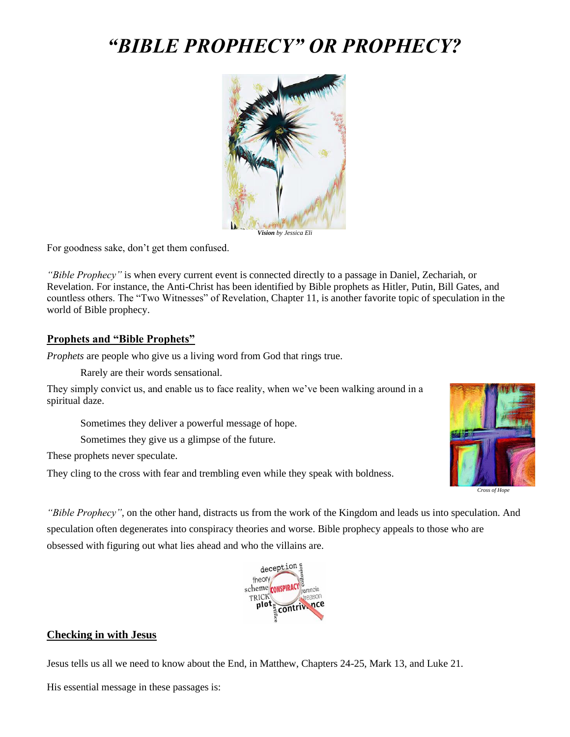# *"BIBLE PROPHECY" OR PROPHECY?*



*Vision by Jessica Eli*

For goodness sake, don't get them confused.

*"Bible Prophecy"* is when every current event is connected directly to a passage in Daniel, Zechariah, or Revelation. For instance, the Anti-Christ has been identified by Bible prophets as Hitler, Putin, Bill Gates, and countless others. The "Two Witnesses" of Revelation, Chapter 11, is another favorite topic of speculation in the world of Bible prophecy.

#### **Prophets and "Bible Prophets"**

*Prophets* are people who give us a living word from God that rings true.

Rarely are their words sensational.

They simply convict us, and enable us to face reality, when we've been walking around in a spiritual daze.

Sometimes they deliver a powerful message of hope.

Sometimes they give us a glimpse of the future.

These prophets never speculate.

They cling to the cross with fear and trembling even while they speak with boldness.



*"Bible Prophecy"*, on the other hand, distracts us from the work of the Kingdom and leads us into speculation. And speculation often degenerates into conspiracy theories and worse. Bible prophecy appeals to those who are obsessed with figuring out what lies ahead and who the villains are.



#### **Checking in with Jesus**

Jesus tells us all we need to know about the End, in Matthew, Chapters 24-25, Mark 13, and Luke 21.

His essential message in these passages is: